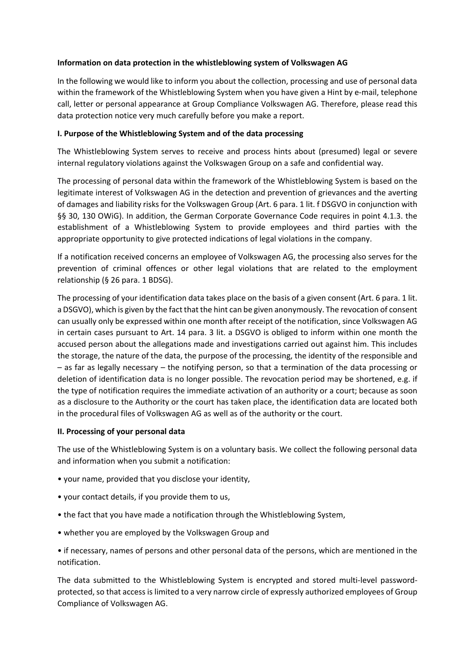# **Information on data protection in the whistleblowing system of Volkswagen AG**

In the following we would like to inform you about the collection, processing and use of personal data within the framework of the Whistleblowing System when you have given a Hint by e-mail, telephone call, letter or personal appearance at Group Compliance Volkswagen AG. Therefore, please read this data protection notice very much carefully before you make a report.

## **I. Purpose of the Whistleblowing System and of the data processing**

The Whistleblowing System serves to receive and process hints about (presumed) legal or severe internal regulatory violations against the Volkswagen Group on a safe and confidential way.

The processing of personal data within the framework of the Whistleblowing System is based on the legitimate interest of Volkswagen AG in the detection and prevention of grievances and the averting of damages and liability risks for the Volkswagen Group (Art. 6 para. 1 lit. f DSGVO in conjunction with §§ 30, 130 OWiG). In addition, the German Corporate Governance Code requires in point 4.1.3. the establishment of a Whistleblowing System to provide employees and third parties with the appropriate opportunity to give protected indications of legal violations in the company.

If a notification received concerns an employee of Volkswagen AG, the processing also serves for the prevention of criminal offences or other legal violations that are related to the employment relationship (§ 26 para. 1 BDSG).

The processing of your identification data takes place on the basis of a given consent (Art. 6 para. 1 lit. a DSGVO), which is given by the fact that the hint can be given anonymously. The revocation of consent can usually only be expressed within one month after receipt of the notification, since Volkswagen AG in certain cases pursuant to Art. 14 para. 3 lit. a DSGVO is obliged to inform within one month the accused person about the allegations made and investigations carried out against him. This includes the storage, the nature of the data, the purpose of the processing, the identity of the responsible and – as far as legally necessary – the notifying person, so that a termination of the data processing or deletion of identification data is no longer possible. The revocation period may be shortened, e.g. if the type of notification requires the immediate activation of an authority or a court; because as soon as a disclosure to the Authority or the court has taken place, the identification data are located both in the procedural files of Volkswagen AG as well as of the authority or the court.

### **II. Processing of your personal data**

The use of the Whistleblowing System is on a voluntary basis. We collect the following personal data and information when you submit a notification:

- your name, provided that you disclose your identity,
- your contact details, if you provide them to us,
- the fact that you have made a notification through the Whistleblowing System,
- whether you are employed by the Volkswagen Group and

• if necessary, names of persons and other personal data of the persons, which are mentioned in the notification.

The data submitted to the Whistleblowing System is encrypted and stored multi-level passwordprotected, so that access is limited to a very narrow circle of expressly authorized employees of Group Compliance of Volkswagen AG.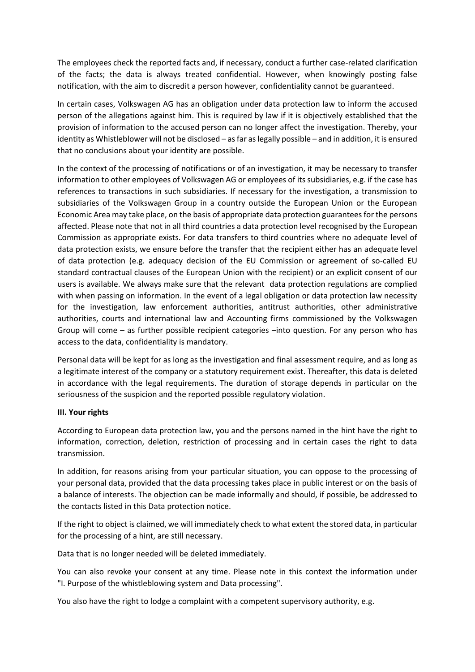The employees check the reported facts and, if necessary, conduct a further case-related clarification of the facts; the data is always treated confidential. However, when knowingly posting false notification, with the aim to discredit a person however, confidentiality cannot be guaranteed.

In certain cases, Volkswagen AG has an obligation under data protection law to inform the accused person of the allegations against him. This is required by law if it is objectively established that the provision of information to the accused person can no longer affect the investigation. Thereby, your identity as Whistleblower will not be disclosed – as far as legally possible – and in addition, it is ensured that no conclusions about your identity are possible.

In the context of the processing of notifications or of an investigation, it may be necessary to transfer information to other employees of Volkswagen AG or employees of its subsidiaries, e.g. if the case has references to transactions in such subsidiaries. If necessary for the investigation, a transmission to subsidiaries of the Volkswagen Group in a country outside the European Union or the European Economic Area may take place, on the basis of appropriate data protection guarantees for the persons affected. Please note that not in all third countries a data protection level recognised by the European Commission as appropriate exists. For data transfers to third countries where no adequate level of data protection exists, we ensure before the transfer that the recipient either has an adequate level of data protection (e.g. adequacy decision of the EU Commission or agreement of so-called EU standard contractual clauses of the European Union with the recipient) or an explicit consent of our users is available. We always make sure that the relevant data protection regulations are complied with when passing on information. In the event of a legal obligation or data protection law necessity for the investigation, law enforcement authorities, antitrust authorities, other administrative authorities, courts and international law and Accounting firms commissioned by the Volkswagen Group will come – as further possible recipient categories –into question. For any person who has access to the data, confidentiality is mandatory.

Personal data will be kept for as long as the investigation and final assessment require, and as long as a legitimate interest of the company or a statutory requirement exist. Thereafter, this data is deleted in accordance with the legal requirements. The duration of storage depends in particular on the seriousness of the suspicion and the reported possible regulatory violation.

### **III. Your rights**

According to European data protection law, you and the persons named in the hint have the right to information, correction, deletion, restriction of processing and in certain cases the right to data transmission.

In addition, for reasons arising from your particular situation, you can oppose to the processing of your personal data, provided that the data processing takes place in public interest or on the basis of a balance of interests. The objection can be made informally and should, if possible, be addressed to the contacts listed in this Data protection notice.

If the right to object is claimed, we will immediately check to what extent the stored data, in particular for the processing of a hint, are still necessary.

Data that is no longer needed will be deleted immediately.

You can also revoke your consent at any time. Please note in this context the information under "I. Purpose of the whistleblowing system and Data processing".

You also have the right to lodge a complaint with a competent supervisory authority, e.g.